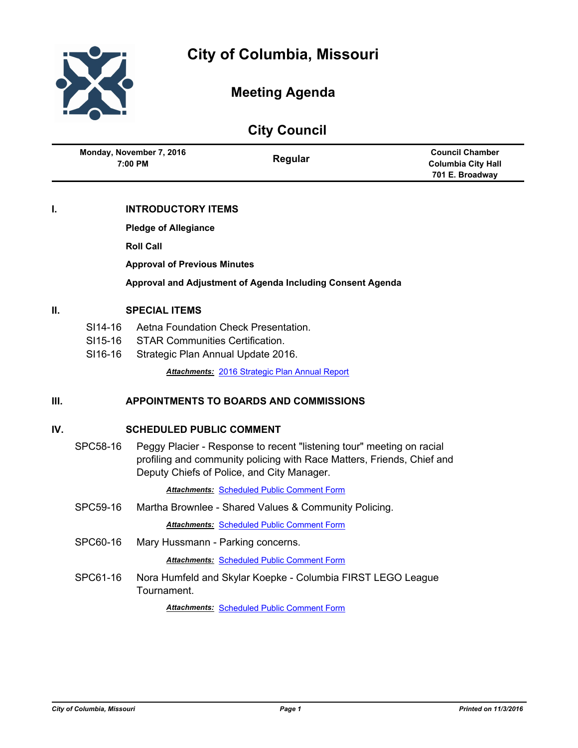

# **Meeting Agenda**

|                          | <b>City Council</b> |                           |
|--------------------------|---------------------|---------------------------|
| Monday, November 7, 2016 |                     | <b>Council Chamber</b>    |
| 7:00 PM                  | Regular             | <b>Columbia City Hall</b> |
|                          |                     | 701 E. Broadway           |

# **I. INTRODUCTORY ITEMS**

**Pledge of Allegiance**

**Roll Call**

**Approval of Previous Minutes**

**Approval and Adjustment of Agenda Including Consent Agenda**

### **II. SPECIAL ITEMS**

- SI14-16 Aetna Foundation Check Presentation.
- SI15-16 STAR Communities Certification.
- SI16-16 Strategic Plan Annual Update 2016.

*Attachments:* [2016 Strategic Plan Annual Report](http://gocolumbiamo.legistar.com/gateway.aspx?M=F&ID=54430b3d-0c69-4b8a-93bb-e6da23ce9615.pdf)

# **III. APPOINTMENTS TO BOARDS AND COMMISSIONS**

#### **IV. SCHEDULED PUBLIC COMMENT**

SPC58-16 Peggy Placier - Response to recent "listening tour" meeting on racial profiling and community policing with Race Matters, Friends, Chief and Deputy Chiefs of Police, and City Manager.

**Attachments: [Scheduled Public Comment Form](http://gocolumbiamo.legistar.com/gateway.aspx?M=F&ID=fdab9559-103e-4bdb-a434-6ec8940532de.pdf)** 

SPC59-16 Martha Brownlee - Shared Values & Community Policing.

**Attachments: [Scheduled Public Comment Form](http://gocolumbiamo.legistar.com/gateway.aspx?M=F&ID=7ab127be-0140-4c91-8ef5-bc53c9d29459.pdf)** 

SPC60-16 Mary Hussmann - Parking concerns.

*Attachments:* [Scheduled Public Comment Form](http://gocolumbiamo.legistar.com/gateway.aspx?M=F&ID=6b192ae3-d81d-4daa-bf94-1d95f34ba7c0.pdf)

SPC61-16 Nora Humfeld and Skylar Koepke - Columbia FIRST LEGO League Tournament.

*Attachments:* [Scheduled Public Comment Form](http://gocolumbiamo.legistar.com/gateway.aspx?M=F&ID=ab1d11c1-b995-4b98-9036-c8e202dc8e32.pdf)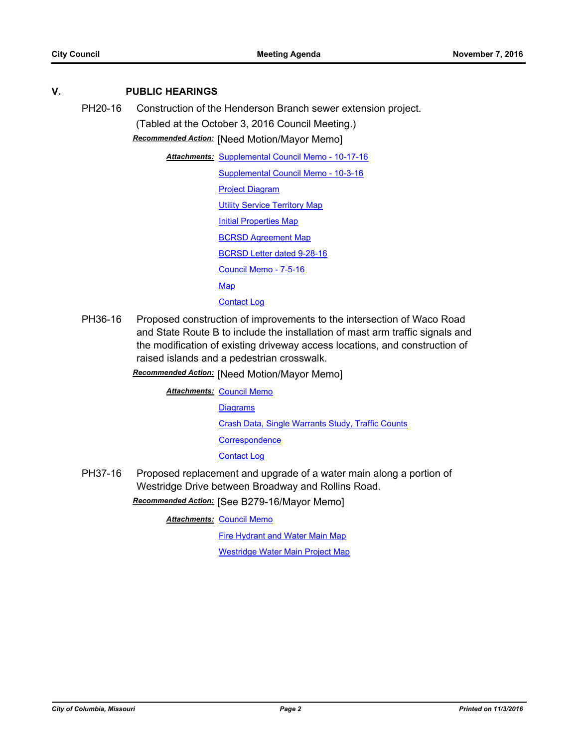# **V. PUBLIC HEARINGS**

PH20-16 Construction of the Henderson Branch sewer extension project. (Tabled at the October 3, 2016 Council Meeting.)

*Recommended Action:* [Need Motion/Mayor Memo]

**Attachments: [Supplemental Council Memo - 10-17-16](http://gocolumbiamo.legistar.com/gateway.aspx?M=F&ID=290ba56d-aee4-428e-aa13-a23029296161.docx)** 

[Supplemental Council Memo - 10-3-16](http://gocolumbiamo.legistar.com/gateway.aspx?M=F&ID=401a40f7-d16d-4e70-8d07-1cd31cf922e6.docx)

[Project Diagram](http://gocolumbiamo.legistar.com/gateway.aspx?M=F&ID=60036c14-f34e-42c9-b517-64ef8a045864.pdf) [Utility Service Territory Map](http://gocolumbiamo.legistar.com/gateway.aspx?M=F&ID=7a0175cf-fa0e-4e38-8fee-b5746a4252a3.pdf) [Initial Properties Map](http://gocolumbiamo.legistar.com/gateway.aspx?M=F&ID=4ebfe6ae-4010-43e9-b1b2-7601f92297ac.pdf) [BCRSD Agreement Map](http://gocolumbiamo.legistar.com/gateway.aspx?M=F&ID=209d0ae3-953b-496f-87b0-4acfeda61f70.pdf)

[BCRSD Letter dated 9-28-16](http://gocolumbiamo.legistar.com/gateway.aspx?M=F&ID=88169932-d19e-4e7c-b1b8-e7453381eea7.pdf)

[Council Memo - 7-5-16](http://gocolumbiamo.legistar.com/gateway.aspx?M=F&ID=18db7bad-6996-492a-b65f-d91ea7857305.docx)

[Map](http://gocolumbiamo.legistar.com/gateway.aspx?M=F&ID=526ae1a4-aae2-404d-ae31-0ca3abfae542.pdf)

[Contact Log](http://gocolumbiamo.legistar.com/gateway.aspx?M=F&ID=d9817d51-8ea9-4980-9774-c9c55e2dc932.pdf)

PH36-16 Proposed construction of improvements to the intersection of Waco Road and State Route B to include the installation of mast arm traffic signals and the modification of existing driveway access locations, and construction of raised islands and a pedestrian crosswalk.

*Recommended Action:* [Need Motion/Mayor Memo]

**Attachments: [Council Memo](http://gocolumbiamo.legistar.com/gateway.aspx?M=F&ID=cd3aed1e-8261-443d-a8f6-e24575a9ac5c.docx)** 

**[Diagrams](http://gocolumbiamo.legistar.com/gateway.aspx?M=F&ID=c2597826-1ac2-4692-9956-3cdbd2f250d6.pdf)** 

[Crash Data, Single Warrants Study, Traffic Counts](http://gocolumbiamo.legistar.com/gateway.aspx?M=F&ID=7b54e45e-970c-4d03-8968-7ae0bcc478a1.pdf)

**[Correspondence](http://gocolumbiamo.legistar.com/gateway.aspx?M=F&ID=9dd422f9-9ce6-4429-9b9b-31b22706ecd2.pdf)** 

[Contact Log](http://gocolumbiamo.legistar.com/gateway.aspx?M=F&ID=fee8f27e-fab1-4f97-81b4-2788ead7e40c.pdf)

PH37-16 Proposed replacement and upgrade of a water main along a portion of Westridge Drive between Broadway and Rollins Road. *Recommended Action:* [See B279-16/Mayor Memo]

**Attachments: [Council Memo](http://gocolumbiamo.legistar.com/gateway.aspx?M=F&ID=c87d9659-981f-45a1-87d6-59bbdf0a89bc.docx)** 

[Fire Hydrant and Water Main Map](http://gocolumbiamo.legistar.com/gateway.aspx?M=F&ID=9954ada3-5a4b-43a9-b467-7bd6838836e5.pdf)

[Westridge Water Main Project Map](http://gocolumbiamo.legistar.com/gateway.aspx?M=F&ID=ea5a60b9-0849-420d-acb5-689fa97e5763.pdf)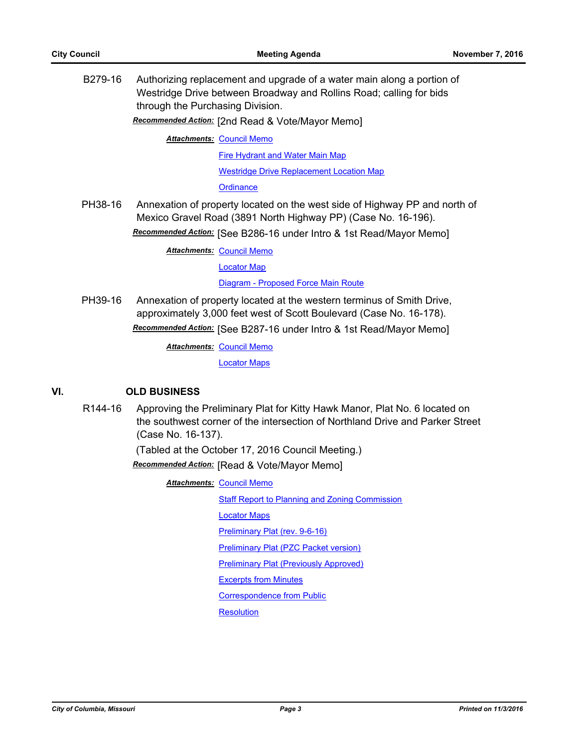B279-16 Authorizing replacement and upgrade of a water main along a portion of Westridge Drive between Broadway and Rollins Road; calling for bids through the Purchasing Division.

*Recommended Action:* [2nd Read & Vote/Mayor Memo]

**Attachments: [Council Memo](http://gocolumbiamo.legistar.com/gateway.aspx?M=F&ID=0ef0ed13-99e3-4a2e-b158-11f71a5d8184.docx)** 

[Fire Hydrant and Water Main Map](http://gocolumbiamo.legistar.com/gateway.aspx?M=F&ID=5c5fcc14-94f5-4b94-855a-53c9c6d0e7e0.pdf)

[Westridge Drive Replacement Location Map](http://gocolumbiamo.legistar.com/gateway.aspx?M=F&ID=e6de4354-228c-4e69-9ac7-f1e7ff7fffa0.pdf)

**[Ordinance](http://gocolumbiamo.legistar.com/gateway.aspx?M=F&ID=b412b9c6-487f-4f39-afe3-6130d3ab060e.doc)** 

PH38-16 Annexation of property located on the west side of Highway PP and north of Mexico Gravel Road (3891 North Highway PP) (Case No. 16-196).

*Recommended Action:* [See B286-16 under Intro & 1st Read/Mayor Memo]

**Attachments: [Council Memo](http://gocolumbiamo.legistar.com/gateway.aspx?M=F&ID=0464ac20-ed9a-435a-9c27-cd541cd749a8.docx)** 

[Locator Map](http://gocolumbiamo.legistar.com/gateway.aspx?M=F&ID=7a0611c6-3da1-4054-b2ce-6637e94d4e18.jpg)

[Diagram - Proposed Force Main Route](http://gocolumbiamo.legistar.com/gateway.aspx?M=F&ID=bfbe56df-07e5-4d5f-bae6-cd43104fc572.pdf)

PH39-16 Annexation of property located at the western terminus of Smith Drive, approximately 3,000 feet west of Scott Boulevard (Case No. 16-178). *Recommended Action:* [See B287-16 under Intro & 1st Read/Mayor Memo]

**Attachments: [Council Memo](http://gocolumbiamo.legistar.com/gateway.aspx?M=F&ID=c6d3ad2d-b433-4b0f-9155-eb25e64e96f4.docx)** 

[Locator Maps](http://gocolumbiamo.legistar.com/gateway.aspx?M=F&ID=a04b6f18-a6c7-4c84-ac0d-cfdc079a8b49.pdf)

## **VI. OLD BUSINESS**

R144-16 Approving the Preliminary Plat for Kitty Hawk Manor, Plat No. 6 located on the southwest corner of the intersection of Northland Drive and Parker Street (Case No. 16-137).

(Tabled at the October 17, 2016 Council Meeting.)

*Recommended Action:* [Read & Vote/Mayor Memo]

**Attachments: [Council Memo](http://gocolumbiamo.legistar.com/gateway.aspx?M=F&ID=7cf53ed8-9d25-4d55-81e8-752d6dcd1ea5.docx) [Staff Report to Planning and Zoning Commission](http://gocolumbiamo.legistar.com/gateway.aspx?M=F&ID=78172922-9ffe-45b0-bb40-f3d8b6f3d65a.pdf)** [Locator Maps](http://gocolumbiamo.legistar.com/gateway.aspx?M=F&ID=e41d1db0-cbfb-4997-ab8d-a7195ad0308e.pdf) [Preliminary Plat \(rev. 9-6-16\)](http://gocolumbiamo.legistar.com/gateway.aspx?M=F&ID=8e91d6f6-2980-4a1d-abd3-aac4e4bca8ee.pdf) [Preliminary Plat \(PZC Packet version\)](http://gocolumbiamo.legistar.com/gateway.aspx?M=F&ID=5d9fd424-3ed3-4171-9d08-265eda895c69.pdf) [Preliminary Plat \(Previously Approved\)](http://gocolumbiamo.legistar.com/gateway.aspx?M=F&ID=908bd806-c0d3-4f3b-b08c-0287fa34744f.pdf) [Excerpts from Minutes](http://gocolumbiamo.legistar.com/gateway.aspx?M=F&ID=c52abda6-c869-46a4-8acd-ce8b3496ebec.docx) [Correspondence from Public](http://gocolumbiamo.legistar.com/gateway.aspx?M=F&ID=2d913963-d662-4b37-87f0-7731eb0362ba.pdf) **[Resolution](http://gocolumbiamo.legistar.com/gateway.aspx?M=F&ID=7334c8db-36e5-466d-bc67-792fd5b887dc.doc)**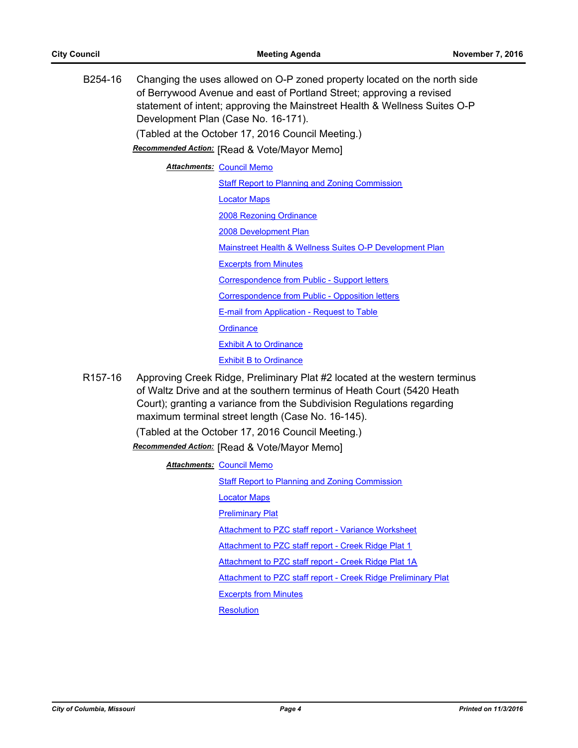B254-16 Changing the uses allowed on O-P zoned property located on the north side of Berrywood Avenue and east of Portland Street; approving a revised statement of intent; approving the Mainstreet Health & Wellness Suites O-P Development Plan (Case No. 16-171). (Tabled at the October 17, 2016 Council Meeting.)

*Recommended Action:* [Read & Vote/Mayor Memo]

**Attachments: [Council Memo](http://gocolumbiamo.legistar.com/gateway.aspx?M=F&ID=e5063f7b-7b49-4b9a-be67-1e977ef1d508.docx)** 

**[Staff Report to Planning and Zoning Commission](http://gocolumbiamo.legistar.com/gateway.aspx?M=F&ID=9240344f-0dc4-42a8-9457-ca6576c1c4ed.pdf)** [Locator Maps](http://gocolumbiamo.legistar.com/gateway.aspx?M=F&ID=26689754-ae1f-4dcc-9d95-8292e21e1df1.pdf) [2008 Rezoning Ordinance](http://gocolumbiamo.legistar.com/gateway.aspx?M=F&ID=bb580ea7-3019-40d7-bbcc-cb3959690f09.pdf) [2008 Development Plan](http://gocolumbiamo.legistar.com/gateway.aspx?M=F&ID=498f78d5-b54e-4b6d-95c4-16d8cc166bf5.pdf) [Mainstreet Health & Wellness Suites O-P Development Plan](http://gocolumbiamo.legistar.com/gateway.aspx?M=F&ID=d5a25eed-d008-4ea7-97d4-6f82a812614d.pdf) [Excerpts from Minutes](http://gocolumbiamo.legistar.com/gateway.aspx?M=F&ID=88a4e0eb-608e-4fe4-a90d-08f9694a50a5.docx) [Correspondence from Public - Support letters](http://gocolumbiamo.legistar.com/gateway.aspx?M=F&ID=4b6b1c60-b544-411d-9e5f-29dde79047ba.pdf) [Correspondence from Public - Opposition letters](http://gocolumbiamo.legistar.com/gateway.aspx?M=F&ID=4ee67c87-e336-4478-82ba-69f2bb2d2923.pdf) [E-mail from Application - Request to Table](http://gocolumbiamo.legistar.com/gateway.aspx?M=F&ID=ebe1c3c5-0fdf-452c-9e0a-322df7f8fe1c.pdf) **[Ordinance](http://gocolumbiamo.legistar.com/gateway.aspx?M=F&ID=fbf1a5c6-a6d2-47c2-be53-3add446e76bc.doc)** [Exhibit A to Ordinance](http://gocolumbiamo.legistar.com/gateway.aspx?M=F&ID=1799859c-8f1b-4d85-98e5-c77dd55de43f.pdf)

[Exhibit B to Ordinance](http://gocolumbiamo.legistar.com/gateway.aspx?M=F&ID=1b13fc2e-f95f-4fc6-b617-86c9576ef195.pdf)

R157-16 Approving Creek Ridge, Preliminary Plat #2 located at the western terminus of Waltz Drive and at the southern terminus of Heath Court (5420 Heath Court); granting a variance from the Subdivision Regulations regarding maximum terminal street length (Case No. 16-145).

(Tabled at the October 17, 2016 Council Meeting.)

*Recommended Action:* [Read & Vote/Mayor Memo]

**Attachments: [Council Memo](http://gocolumbiamo.legistar.com/gateway.aspx?M=F&ID=aeb7ad82-a88f-420a-ad33-7724133cb5d0.docx)** 

[Staff Report to Planning and Zoning Commission](http://gocolumbiamo.legistar.com/gateway.aspx?M=F&ID=92381ea4-8287-4ca1-bd6e-4cdcd1dac334.pdf)

[Locator Maps](http://gocolumbiamo.legistar.com/gateway.aspx?M=F&ID=7f8d9390-fd60-44c5-8818-b447de6d860b.pdf)

[Preliminary Plat](http://gocolumbiamo.legistar.com/gateway.aspx?M=F&ID=3d9ada49-82c9-425b-8631-dba6c14c24aa.pdf)

[Attachment to PZC staff report - Variance Worksheet](http://gocolumbiamo.legistar.com/gateway.aspx?M=F&ID=2552f889-eeaa-4733-bd93-d50a9dbcf428.pdf)

[Attachment to PZC staff report - Creek Ridge Plat 1](http://gocolumbiamo.legistar.com/gateway.aspx?M=F&ID=0b399484-b53f-4021-bf29-af18914b15b3.pdf)

[Attachment to PZC staff report - Creek Ridge Plat 1A](http://gocolumbiamo.legistar.com/gateway.aspx?M=F&ID=b3ee3910-9c9d-4aaf-ad43-950341cf074b.pdf)

[Attachment to PZC staff report - Creek Ridge Preliminary Plat](http://gocolumbiamo.legistar.com/gateway.aspx?M=F&ID=f80e369d-a7a9-4450-a013-8a4f71efa57f.pdf)

[Excerpts from Minutes](http://gocolumbiamo.legistar.com/gateway.aspx?M=F&ID=c5cf1e0c-e94d-4385-86d9-5de55500e4d4.docx)

**[Resolution](http://gocolumbiamo.legistar.com/gateway.aspx?M=F&ID=dbd71aaf-c480-4b7e-9ec9-01679080f690.doc)**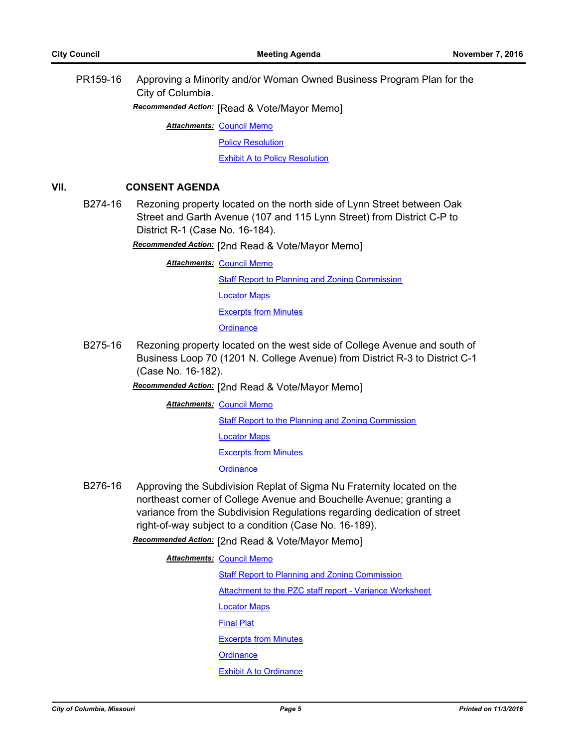PR159-16 Approving a Minority and/or Woman Owned Business Program Plan for the City of Columbia.

*Recommended Action:* [Read & Vote/Mayor Memo]

**Attachments: [Council Memo](http://gocolumbiamo.legistar.com/gateway.aspx?M=F&ID=0003cd66-8899-4118-8398-7ea5b4dcb691.docx)** 

[Policy Resolution](http://gocolumbiamo.legistar.com/gateway.aspx?M=F&ID=fea2be65-87a7-44d3-9279-a05ada469085.doc)

[Exhibit A to Policy Resolution](http://gocolumbiamo.legistar.com/gateway.aspx?M=F&ID=16e65e43-fd25-4fd1-b951-03896264bfff.docx)

# **VII. CONSENT AGENDA**

B274-16 Rezoning property located on the north side of Lynn Street between Oak Street and Garth Avenue (107 and 115 Lynn Street) from District C-P to District R-1 (Case No. 16-184).

*Recommended Action:* [2nd Read & Vote/Mayor Memo]

**Attachments: [Council Memo](http://gocolumbiamo.legistar.com/gateway.aspx?M=F&ID=e8c195b1-cc66-4c31-9bdf-3309d824dc39.docx) [Staff Report to Planning and Zoning Commission](http://gocolumbiamo.legistar.com/gateway.aspx?M=F&ID=b2d902ad-f668-4e3f-a6f6-524ca748550e.pdf)** [Locator Maps](http://gocolumbiamo.legistar.com/gateway.aspx?M=F&ID=7911f8e2-1e08-43c9-95eb-18a3f297d81d.pdf) [Excerpts from Minutes](http://gocolumbiamo.legistar.com/gateway.aspx?M=F&ID=b6b49f8d-e2ec-4617-960b-5c4f73589253.pdf) **[Ordinance](http://gocolumbiamo.legistar.com/gateway.aspx?M=F&ID=70a559e3-225e-42bb-8d6a-cbb7da9213a9.doc)** 

B275-16 Rezoning property located on the west side of College Avenue and south of Business Loop 70 (1201 N. College Avenue) from District R-3 to District C-1 (Case No. 16-182).

*Recommended Action:* [2nd Read & Vote/Mayor Memo]

**Attachments: [Council Memo](http://gocolumbiamo.legistar.com/gateway.aspx?M=F&ID=c74b31a0-2e7f-4099-a0dd-ad69b1ddecef.docx)** 

**[Staff Report to the Planning and Zoning Commission](http://gocolumbiamo.legistar.com/gateway.aspx?M=F&ID=97adf5b6-704c-4f0a-b2d7-221a269cca68.pdf)** 

[Locator Maps](http://gocolumbiamo.legistar.com/gateway.aspx?M=F&ID=ce22eccc-9291-42d6-bcc9-dac9e0449e71.pdf)

[Excerpts from Minutes](http://gocolumbiamo.legistar.com/gateway.aspx?M=F&ID=863f0ee9-2b12-4b51-a675-75f6ed0b030d.pdf)

**[Ordinance](http://gocolumbiamo.legistar.com/gateway.aspx?M=F&ID=4701cca8-b6e5-4b68-a6db-9f3b7b995b8e.doc)** 

B276-16 Approving the Subdivision Replat of Sigma Nu Fraternity located on the northeast corner of College Avenue and Bouchelle Avenue; granting a variance from the Subdivision Regulations regarding dedication of street right-of-way subject to a condition (Case No. 16-189).

*Recommended Action:* [2nd Read & Vote/Mayor Memo]

**Attachments: [Council Memo](http://gocolumbiamo.legistar.com/gateway.aspx?M=F&ID=6a8873c5-f4db-4b23-872d-cbc7ff73d0af.docx)** 

[Staff Report to Planning and Zoning Commission](http://gocolumbiamo.legistar.com/gateway.aspx?M=F&ID=756e2ef9-4578-454b-a067-5f85225e9c39.pdf) [Attachment to the PZC staff report - Variance Worksheet](http://gocolumbiamo.legistar.com/gateway.aspx?M=F&ID=84e7e81f-ceaa-4557-90f5-03826a2653c9.pdf) [Locator Maps](http://gocolumbiamo.legistar.com/gateway.aspx?M=F&ID=6ddd6fae-e9a4-4543-863c-aa9d81d8b0c6.pdf) [Final Plat](http://gocolumbiamo.legistar.com/gateway.aspx?M=F&ID=faf0a2b2-5770-4943-938f-ae17a6a55239.pdf) [Excerpts from Minutes](http://gocolumbiamo.legistar.com/gateway.aspx?M=F&ID=14bad3f8-f029-44a8-98a6-5e37df312889.pdf) **[Ordinance](http://gocolumbiamo.legistar.com/gateway.aspx?M=F&ID=2255217c-893e-469c-9062-96b0c33d47da.doc)** [Exhibit A to Ordinance](http://gocolumbiamo.legistar.com/gateway.aspx?M=F&ID=855eb0bd-1c80-486d-89b8-2e971e167415.pdf)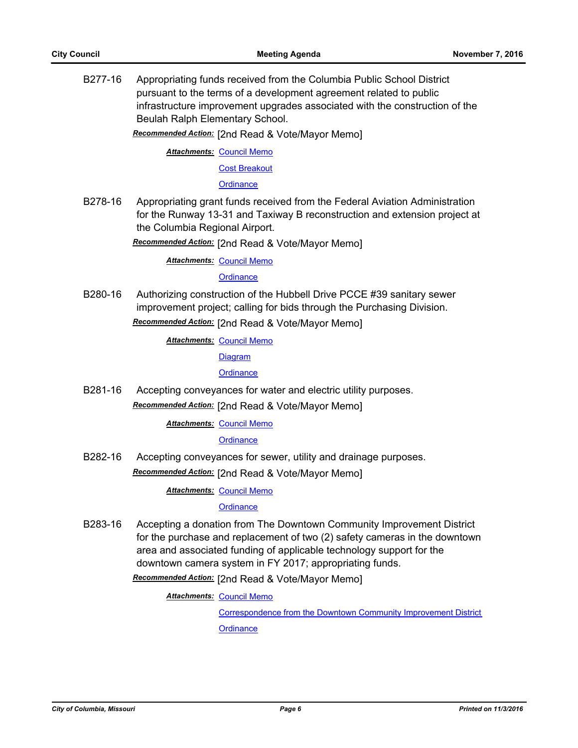B277-16 Appropriating funds received from the Columbia Public School District pursuant to the terms of a development agreement related to public infrastructure improvement upgrades associated with the construction of the Beulah Ralph Elementary School.

*Recommended Action:* [2nd Read & Vote/Mayor Memo]

**Attachments: [Council Memo](http://gocolumbiamo.legistar.com/gateway.aspx?M=F&ID=ce170b76-5e61-4400-857e-cb00f164a397.docx)** 

[Cost Breakout](http://gocolumbiamo.legistar.com/gateway.aspx?M=F&ID=32fd235d-f788-4370-bbff-2ec4597a9c10.pdf)

**[Ordinance](http://gocolumbiamo.legistar.com/gateway.aspx?M=F&ID=05e312f7-8eb5-4e22-af56-e702a6fd4e19.doc)** 

B278-16 Appropriating grant funds received from the Federal Aviation Administration for the Runway 13-31 and Taxiway B reconstruction and extension project at the Columbia Regional Airport.

*Recommended Action:* [2nd Read & Vote/Mayor Memo]

**Attachments: [Council Memo](http://gocolumbiamo.legistar.com/gateway.aspx?M=F&ID=a1c371cb-90a6-40bd-8ce3-b05b9cec478f.docx)** 

**[Ordinance](http://gocolumbiamo.legistar.com/gateway.aspx?M=F&ID=ba65c227-636d-426c-a1d5-b6d7a5530b5d.doc)** 

B280-16 Authorizing construction of the Hubbell Drive PCCE #39 sanitary sewer improvement project; calling for bids through the Purchasing Division. *Recommended Action:* [2nd Read & Vote/Mayor Memo]

**Attachments: [Council Memo](http://gocolumbiamo.legistar.com/gateway.aspx?M=F&ID=a7830ab5-6302-4b5b-9a68-7e84bd97ba9e.docx)** 

**[Diagram](http://gocolumbiamo.legistar.com/gateway.aspx?M=F&ID=4f66a7f6-4091-4ae8-8644-28bc16238627.jpg)** 

**[Ordinance](http://gocolumbiamo.legistar.com/gateway.aspx?M=F&ID=a497e70b-042d-4eaf-a5e6-def95a3464cf.doc)** 

B281-16 Accepting conveyances for water and electric utility purposes. *Recommended Action:* [2nd Read & Vote/Mayor Memo]

**Attachments: [Council Memo](http://gocolumbiamo.legistar.com/gateway.aspx?M=F&ID=8a73067e-4172-4a99-b37f-f71a2759bb9d.docx)** 

**[Ordinance](http://gocolumbiamo.legistar.com/gateway.aspx?M=F&ID=0471ffc3-94e1-460d-93ea-6144a4703477.doc)** 

B282-16 Accepting conveyances for sewer, utility and drainage purposes. *Recommended Action:* [2nd Read & Vote/Mayor Memo]

**Attachments: [Council Memo](http://gocolumbiamo.legistar.com/gateway.aspx?M=F&ID=47e4ae6e-70ef-449b-a5eb-1ce5b25c3331.docx)** 

**[Ordinance](http://gocolumbiamo.legistar.com/gateway.aspx?M=F&ID=66b65037-9b8c-490f-97c4-67def9aaf589.doc)** 

B283-16 Accepting a donation from The Downtown Community Improvement District for the purchase and replacement of two (2) safety cameras in the downtown area and associated funding of applicable technology support for the downtown camera system in FY 2017; appropriating funds.

*Recommended Action:* [2nd Read & Vote/Mayor Memo]

**Attachments: [Council Memo](http://gocolumbiamo.legistar.com/gateway.aspx?M=F&ID=b1b5d54d-d0a7-4f67-b964-4e3953096296.docx)** 

[Correspondence from the Downtown Community Improvement District](http://gocolumbiamo.legistar.com/gateway.aspx?M=F&ID=62e65ea9-2703-49dc-8e43-577bb36af773.pdf)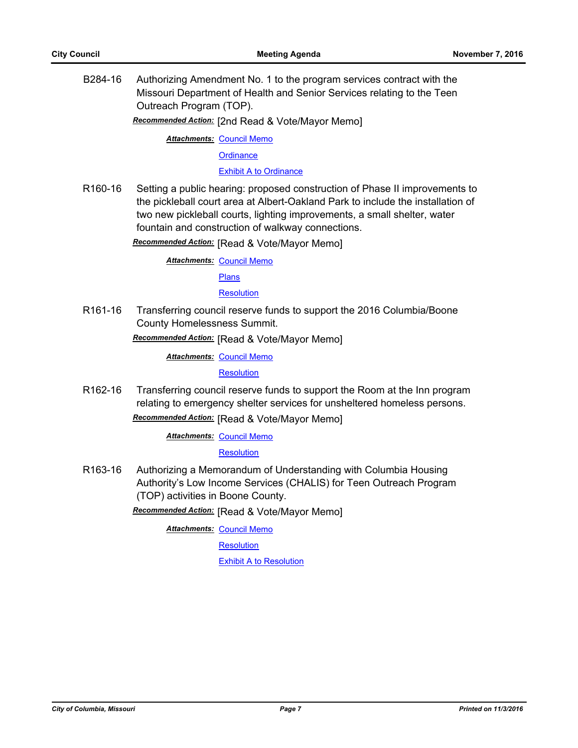B284-16 Authorizing Amendment No. 1 to the program services contract with the Missouri Department of Health and Senior Services relating to the Teen Outreach Program (TOP).

*Recommended Action:* [2nd Read & Vote/Mayor Memo]

**Attachments: [Council Memo](http://gocolumbiamo.legistar.com/gateway.aspx?M=F&ID=d9ff16d0-63bb-42e1-8683-351acf39084d.docx)** 

**[Ordinance](http://gocolumbiamo.legistar.com/gateway.aspx?M=F&ID=737caf30-4d3f-4ac9-93c1-82d9576ce98e.doc)** 

[Exhibit A to Ordinance](http://gocolumbiamo.legistar.com/gateway.aspx?M=F&ID=c634b345-1fc0-4abd-a381-77d591a6e0e1.pdf)

R160-16 Setting a public hearing: proposed construction of Phase II improvements to the pickleball court area at Albert-Oakland Park to include the installation of two new pickleball courts, lighting improvements, a small shelter, water fountain and construction of walkway connections.

*Recommended Action:* [Read & Vote/Mayor Memo]

**Attachments: [Council Memo](http://gocolumbiamo.legistar.com/gateway.aspx?M=F&ID=bde87dfc-2a30-4114-995e-18ecfa21b16c.docx)** 

[Plans](http://gocolumbiamo.legistar.com/gateway.aspx?M=F&ID=c2cde976-860d-4735-91f5-d7b361910d3f.pdf)

**[Resolution](http://gocolumbiamo.legistar.com/gateway.aspx?M=F&ID=1e553b38-bbb1-486e-917c-9757ef642209.doc)** 

R161-16 Transferring council reserve funds to support the 2016 Columbia/Boone County Homelessness Summit.

*Recommended Action:* [Read & Vote/Mayor Memo]

**Attachments: [Council Memo](http://gocolumbiamo.legistar.com/gateway.aspx?M=F&ID=2b93b48c-ca95-47ce-b1b5-dabb26160d12.docx)** 

**[Resolution](http://gocolumbiamo.legistar.com/gateway.aspx?M=F&ID=166d7bad-c011-4ade-bebe-103968304502.doc)** 

R162-16 Transferring council reserve funds to support the Room at the Inn program relating to emergency shelter services for unsheltered homeless persons.

*Recommended Action:* [Read & Vote/Mayor Memo]

**Attachments: [Council Memo](http://gocolumbiamo.legistar.com/gateway.aspx?M=F&ID=55ca5036-5118-465d-8325-71ac445901f7.docx)** 

**[Resolution](http://gocolumbiamo.legistar.com/gateway.aspx?M=F&ID=4d338c38-e0d2-4002-8f76-8c285ddbe1da.doc)** 

R163-16 Authorizing a Memorandum of Understanding with Columbia Housing Authority's Low Income Services (CHALIS) for Teen Outreach Program (TOP) activities in Boone County.

*Recommended Action:* [Read & Vote/Mayor Memo]

**Attachments: [Council Memo](http://gocolumbiamo.legistar.com/gateway.aspx?M=F&ID=4dc8cd6d-e880-459c-a831-aa69564955dc.docx)** 

**[Resolution](http://gocolumbiamo.legistar.com/gateway.aspx?M=F&ID=e57ae069-196e-4756-910e-0a48d5a6547e.doc)** 

[Exhibit A to Resolution](http://gocolumbiamo.legistar.com/gateway.aspx?M=F&ID=97f828d3-8d12-4149-83f1-f7886c9b8c53.pdf)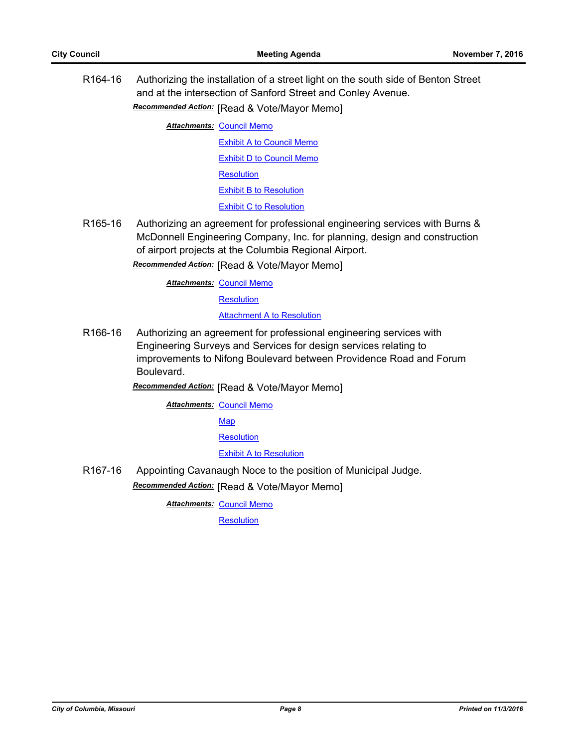R164-16 Authorizing the installation of a street light on the south side of Benton Street and at the intersection of Sanford Street and Conley Avenue.

*Recommended Action:* [Read & Vote/Mayor Memo]

**Attachments: [Council Memo](http://gocolumbiamo.legistar.com/gateway.aspx?M=F&ID=dc592f2b-d6ad-41f0-9eaf-7bb8995eac5d.docx)** 

[Exhibit A to Council Memo](http://gocolumbiamo.legistar.com/gateway.aspx?M=F&ID=6c18f641-d9ac-41ff-86c6-743fca802f37.pdf) [Exhibit D to Council Memo](http://gocolumbiamo.legistar.com/gateway.aspx?M=F&ID=13f1af0b-de74-4cc9-bc61-387a7c954f1f.pdf) **[Resolution](http://gocolumbiamo.legistar.com/gateway.aspx?M=F&ID=1db0c185-aa19-4008-a89b-21e04f175c1f.doc)** [Exhibit B to Resolution](http://gocolumbiamo.legistar.com/gateway.aspx?M=F&ID=b50c0263-a960-4a73-9ebe-cd61ba4bf8e6.pdf)

[Exhibit C to Resolution](http://gocolumbiamo.legistar.com/gateway.aspx?M=F&ID=14bfd10e-698e-4bc1-9fc6-688365f0cca1.pdf)

R165-16 Authorizing an agreement for professional engineering services with Burns & McDonnell Engineering Company, Inc. for planning, design and construction of airport projects at the Columbia Regional Airport.

*Recommended Action:* [Read & Vote/Mayor Memo]

**Attachments: [Council Memo](http://gocolumbiamo.legistar.com/gateway.aspx?M=F&ID=4639d9af-6931-4835-aaa9-df28e67cada0.docx)** 

**[Resolution](http://gocolumbiamo.legistar.com/gateway.aspx?M=F&ID=72c01cdc-e589-4a7d-9eb3-9a1be1b3225a.doc)** 

**[Attachment A to Resolution](http://gocolumbiamo.legistar.com/gateway.aspx?M=F&ID=9d9f31ec-49c2-4795-a6f5-067b2101d925.pdf)** 

R166-16 Authorizing an agreement for professional engineering services with Engineering Surveys and Services for design services relating to improvements to Nifong Boulevard between Providence Road and Forum Boulevard.

*Recommended Action:* [Read & Vote/Mayor Memo]

**Attachments: [Council Memo](http://gocolumbiamo.legistar.com/gateway.aspx?M=F&ID=1e07a39f-9e10-44d0-b88e-38a9bc9d443d.docx)** 

**[Map](http://gocolumbiamo.legistar.com/gateway.aspx?M=F&ID=ff6b2936-203f-4016-9750-b4c59c1e5ccb.pdf)** 

**[Resolution](http://gocolumbiamo.legistar.com/gateway.aspx?M=F&ID=7371d9e4-daf7-4a37-a0ed-64c4afd81fcb.doc)** 

[Exhibit A to Resolution](http://gocolumbiamo.legistar.com/gateway.aspx?M=F&ID=7dfdc26b-afeb-4ed6-9867-0cd65f3875b9.pdf)

R167-16 Appointing Cavanaugh Noce to the position of Municipal Judge. *Recommended Action:* [Read & Vote/Mayor Memo]

**Attachments: [Council Memo](http://gocolumbiamo.legistar.com/gateway.aspx?M=F&ID=941b3174-93a4-4109-8a80-c0d6452f2f96.docx)** 

**[Resolution](http://gocolumbiamo.legistar.com/gateway.aspx?M=F&ID=1ca0488d-ed38-4c4a-a87b-bf9a00d15bec.doc)**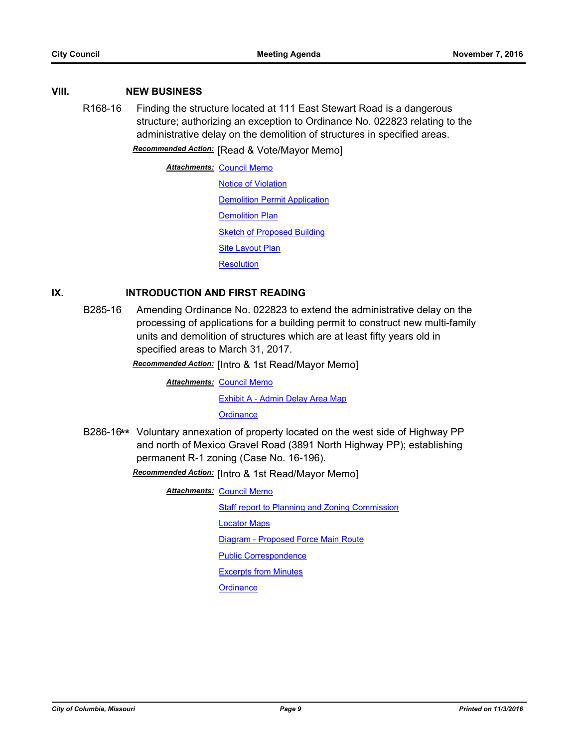# **VIII. NEW BUSINESS**

R168-16 Finding the structure located at 111 East Stewart Road is a dangerous structure; authorizing an exception to Ordinance No. 022823 relating to the administrative delay on the demolition of structures in specified areas.

*Recommended Action:* [Read & Vote/Mayor Memo]

**Attachments: [Council Memo](http://gocolumbiamo.legistar.com/gateway.aspx?M=F&ID=3eb52a95-b111-4cf8-a466-8fd57b80ca25.docx) [Notice of Violation](http://gocolumbiamo.legistar.com/gateway.aspx?M=F&ID=0d27eed1-1933-48ab-a832-cd9a9850a066.pdf) [Demolition Permit Application](http://gocolumbiamo.legistar.com/gateway.aspx?M=F&ID=99f2ec67-6729-41c8-a899-794350a89f74.pdf)** [Demolition Plan](http://gocolumbiamo.legistar.com/gateway.aspx?M=F&ID=b9abb50c-87c8-4f55-82d3-19150201deb1.pdf) [Sketch of Proposed Building](http://gocolumbiamo.legistar.com/gateway.aspx?M=F&ID=8a8508ce-186b-4c69-a669-9a03293055f9.pdf) **[Site Layout Plan](http://gocolumbiamo.legistar.com/gateway.aspx?M=F&ID=9de5db59-348e-4b75-a506-28ac17a956ea.pdf) [Resolution](http://gocolumbiamo.legistar.com/gateway.aspx?M=F&ID=85a0bfe4-78e6-4c1f-9ae6-4e8ecb71dc84.doc)** 

# **IX. INTRODUCTION AND FIRST READING**

B285-16 Amending Ordinance No. 022823 to extend the administrative delay on the processing of applications for a building permit to construct new multi-family units and demolition of structures which are at least fifty years old in specified areas to March 31, 2017.

*Recommended Action:* [Intro & 1st Read/Mayor Memo]

**Attachments: [Council Memo](http://gocolumbiamo.legistar.com/gateway.aspx?M=F&ID=cc52df30-aebf-4de4-871a-7a5b716891f6.docx)** 

[Exhibit A - Admin Delay Area Map](http://gocolumbiamo.legistar.com/gateway.aspx?M=F&ID=5ddd1d4e-9128-4a5e-9eab-af4ffaef9f17.pdf)

**[Ordinance](http://gocolumbiamo.legistar.com/gateway.aspx?M=F&ID=5e01f11e-ebde-4571-a9e1-7e426b515bdc.doc)** 

B286-16**\*\*** Voluntary annexation of property located on the west side of Highway PP and north of Mexico Gravel Road (3891 North Highway PP); establishing permanent R-1 zoning (Case No. 16-196).

*Recommended Action:* [Intro & 1st Read/Mayor Memo]

**Attachments: [Council Memo](http://gocolumbiamo.legistar.com/gateway.aspx?M=F&ID=79f1f657-032c-4da1-ba03-5ff83c1dc343.docx)** 

[Staff report to Planning and Zoning Commission](http://gocolumbiamo.legistar.com/gateway.aspx?M=F&ID=a0749aea-5483-4c29-a699-00c5db7616d5.pdf)

[Locator Maps](http://gocolumbiamo.legistar.com/gateway.aspx?M=F&ID=75db1b66-38c6-4b0b-a315-3e036f398b78.pdf)

[Diagram - Proposed Force Main Route](http://gocolumbiamo.legistar.com/gateway.aspx?M=F&ID=88feb5bf-3a49-42a2-9395-f307fb61688c.pdf)

[Public Correspondence](http://gocolumbiamo.legistar.com/gateway.aspx?M=F&ID=1c9ff4a3-9ed7-4364-8259-10b3b86b1b5d.pdf)

[Excerpts from Minutes](http://gocolumbiamo.legistar.com/gateway.aspx?M=F&ID=ebeee7e2-adf1-4b60-934d-7c5d6a5c2ae5.docx)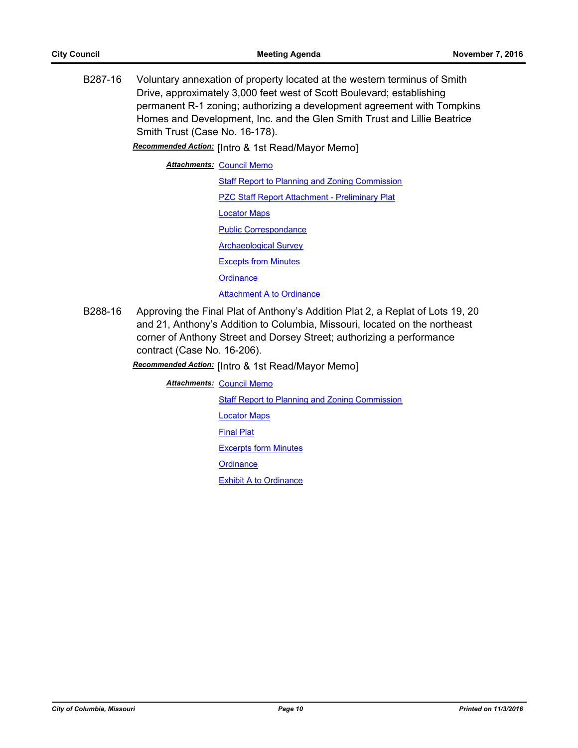B287-16 Voluntary annexation of property located at the western terminus of Smith Drive, approximately 3,000 feet west of Scott Boulevard; establishing permanent R-1 zoning; authorizing a development agreement with Tompkins Homes and Development, Inc. and the Glen Smith Trust and Lillie Beatrice Smith Trust (Case No. 16-178).

*Recommended Action:* [Intro & 1st Read/Mayor Memo]

**Attachments: [Council Memo](http://gocolumbiamo.legistar.com/gateway.aspx?M=F&ID=76ff4c77-5782-49db-91ca-53e2e8066145.docx)** 

[Staff Report to Planning and Zoning Commission](http://gocolumbiamo.legistar.com/gateway.aspx?M=F&ID=007c1cbc-1c23-4e63-8a86-cfcdc0d0a5bf.pdf) [PZC Staff Report Attachment - Preliminary Plat](http://gocolumbiamo.legistar.com/gateway.aspx?M=F&ID=190fd238-22d5-4a85-b42a-f86c940cad5a.pdf) [Locator Maps](http://gocolumbiamo.legistar.com/gateway.aspx?M=F&ID=4c1ae524-d9e1-49ad-bd3d-8ffb1e297d46.pdf) [Public Correspondance](http://gocolumbiamo.legistar.com/gateway.aspx?M=F&ID=a614b5e6-0e02-4ba4-bcb5-ab3700ddbbaf.pdf) [Archaeological Survey](http://gocolumbiamo.legistar.com/gateway.aspx?M=F&ID=212777a7-2cd3-49c5-8f91-b5693a3741dc.pdf) [Excepts from Minutes](http://gocolumbiamo.legistar.com/gateway.aspx?M=F&ID=44ccb9d9-43b7-4744-a504-f5f67b658bfc.docx) **[Ordinance](http://gocolumbiamo.legistar.com/gateway.aspx?M=F&ID=595dc257-7516-41b5-aa69-43f7fc2cb019.doc)** [Attachment A to Ordinance](http://gocolumbiamo.legistar.com/gateway.aspx?M=F&ID=397eb512-dd4d-44ee-8843-f6ea23db7fd5.pdf)

B288-16 Approving the Final Plat of Anthony's Addition Plat 2, a Replat of Lots 19, 20 and 21, Anthony's Addition to Columbia, Missouri, located on the northeast corner of Anthony Street and Dorsey Street; authorizing a performance contract (Case No. 16-206).

# *Recommended Action:* [Intro & 1st Read/Mayor Memo]

**Attachments: [Council Memo](http://gocolumbiamo.legistar.com/gateway.aspx?M=F&ID=7dcbc208-2595-4e9e-9685-fc3ccc95e4a8.docx)** 

[Staff Report to Planning and Zoning Commission](http://gocolumbiamo.legistar.com/gateway.aspx?M=F&ID=26ababe2-0e4c-4299-9c96-f8de820b5d18.pdf)

[Locator Maps](http://gocolumbiamo.legistar.com/gateway.aspx?M=F&ID=2e8d6b71-54d5-45b8-a3e8-22434521e4da.pdf)

[Final Plat](http://gocolumbiamo.legistar.com/gateway.aspx?M=F&ID=2205f9c6-0a82-4878-a25b-18dd95b739b9.pdf)

[Excerpts form Minutes](http://gocolumbiamo.legistar.com/gateway.aspx?M=F&ID=3430c263-40c9-488d-a549-92081c812b53.docx)

**[Ordinance](http://gocolumbiamo.legistar.com/gateway.aspx?M=F&ID=c4c12f8c-1617-4f0c-bdb2-3bd0708f9ad4.doc)** 

[Exhibit A to Ordinance](http://gocolumbiamo.legistar.com/gateway.aspx?M=F&ID=3f26f3d7-d4f1-43bf-bd72-5f0c105cd3cb.pdf)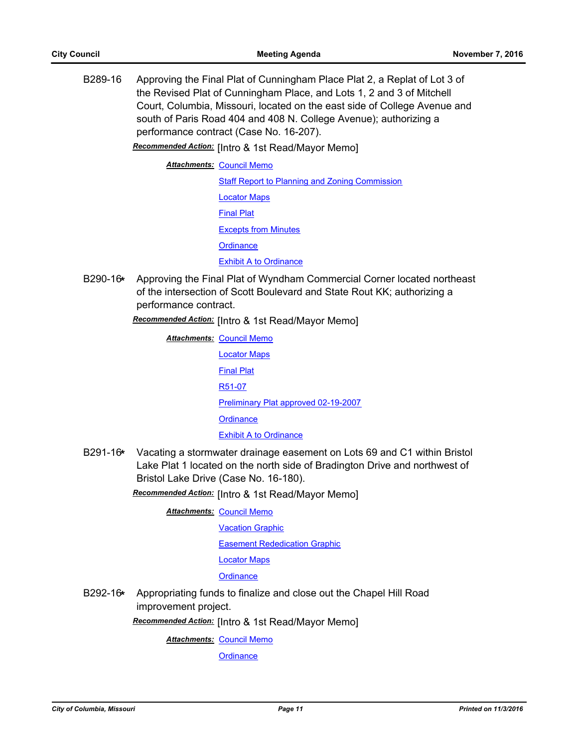B289-16 Approving the Final Plat of Cunningham Place Plat 2, a Replat of Lot 3 of the Revised Plat of Cunningham Place, and Lots 1, 2 and 3 of Mitchell Court, Columbia, Missouri, located on the east side of College Avenue and south of Paris Road 404 and 408 N. College Avenue); authorizing a performance contract (Case No. 16-207).

*Recommended Action:* [Intro & 1st Read/Mayor Memo]

**Attachments: [Council Memo](http://gocolumbiamo.legistar.com/gateway.aspx?M=F&ID=1aecd4f3-34fb-4680-b69a-f5d91d07e21f.docx)** 

[Staff Report to Planning and Zoning Commission](http://gocolumbiamo.legistar.com/gateway.aspx?M=F&ID=7b509674-e75e-48ec-8db6-14f4d4c55a5e.pdf) [Locator Maps](http://gocolumbiamo.legistar.com/gateway.aspx?M=F&ID=767eb26f-bc5b-4f8d-8458-82d4c9bd37ec.pdf) [Final Plat](http://gocolumbiamo.legistar.com/gateway.aspx?M=F&ID=9ac94ab5-48fd-4bf3-a8fc-baaea716b027.pdf) [Excepts from Minutes](http://gocolumbiamo.legistar.com/gateway.aspx?M=F&ID=8f059625-f64f-4565-9f49-17379fbab735.docx) **[Ordinance](http://gocolumbiamo.legistar.com/gateway.aspx?M=F&ID=40bb7d41-4dc9-4ad1-b6dd-4f3f60e2efe6.doc)** [Exhibit A to Ordinance](http://gocolumbiamo.legistar.com/gateway.aspx?M=F&ID=b42eed7d-be51-44fc-b918-2bb8bfe379c5.pdf)

B290-16**\*** Approving the Final Plat of Wyndham Commercial Corner located northeast of the intersection of Scott Boulevard and State Rout KK; authorizing a performance contract.

*Recommended Action:* [Intro & 1st Read/Mayor Memo]

**Attachments: [Council Memo](http://gocolumbiamo.legistar.com/gateway.aspx?M=F&ID=acfb0c5f-bb5c-4c98-bb33-808e5c3f7bb9.docx)** [Locator Maps](http://gocolumbiamo.legistar.com/gateway.aspx?M=F&ID=677e0361-fba6-410e-a191-89e476f1aa7e.pdf) [Final Plat](http://gocolumbiamo.legistar.com/gateway.aspx?M=F&ID=76ad7b4f-0eef-4218-9faf-980d459dcf6a.pdf) [R51-07](http://gocolumbiamo.legistar.com/gateway.aspx?M=F&ID=1b792504-1bd1-4ef6-8a12-6d4841a002d7.pdf) [Preliminary Plat approved 02-19-2007](http://gocolumbiamo.legistar.com/gateway.aspx?M=F&ID=74b1ebd3-ad31-4aeb-bb0f-767e3f743f97.pdf) **[Ordinance](http://gocolumbiamo.legistar.com/gateway.aspx?M=F&ID=82be7379-55a7-4c36-ae49-1f1ebb594ff4.doc)** [Exhibit A to Ordinance](http://gocolumbiamo.legistar.com/gateway.aspx?M=F&ID=29fdbf82-d0e1-4384-8b50-6aa717f1ea87.pdf)

B291-16**\*** Vacating a stormwater drainage easement on Lots 69 and C1 within Bristol Lake Plat 1 located on the north side of Bradington Drive and northwest of Bristol Lake Drive (Case No. 16-180).

*Recommended Action:* [Intro & 1st Read/Mayor Memo]

**Attachments: [Council Memo](http://gocolumbiamo.legistar.com/gateway.aspx?M=F&ID=171e0467-451a-45ec-a9f3-74ed10b1e704.docx)** 

[Vacation Graphic](http://gocolumbiamo.legistar.com/gateway.aspx?M=F&ID=9937f80b-0243-42ea-8b8c-96f19dca95ee.pdf)

[Easement Rededication Graphic](http://gocolumbiamo.legistar.com/gateway.aspx?M=F&ID=04a7c8c3-0aac-43d1-b13f-abad5ea648be.pdf)

[Locator Maps](http://gocolumbiamo.legistar.com/gateway.aspx?M=F&ID=be302c56-0cce-41b4-af19-31a6d81aceb0.pdf)

**[Ordinance](http://gocolumbiamo.legistar.com/gateway.aspx?M=F&ID=35dbfe84-8cb0-4797-840b-1aee41fc57bd.doc)** 

B292-16**\*** Appropriating funds to finalize and close out the Chapel Hill Road improvement project.

*Recommended Action:* [Intro & 1st Read/Mayor Memo]

**Attachments: [Council Memo](http://gocolumbiamo.legistar.com/gateway.aspx?M=F&ID=af0c4ade-ab52-4591-a15c-837828a227c9.docx)**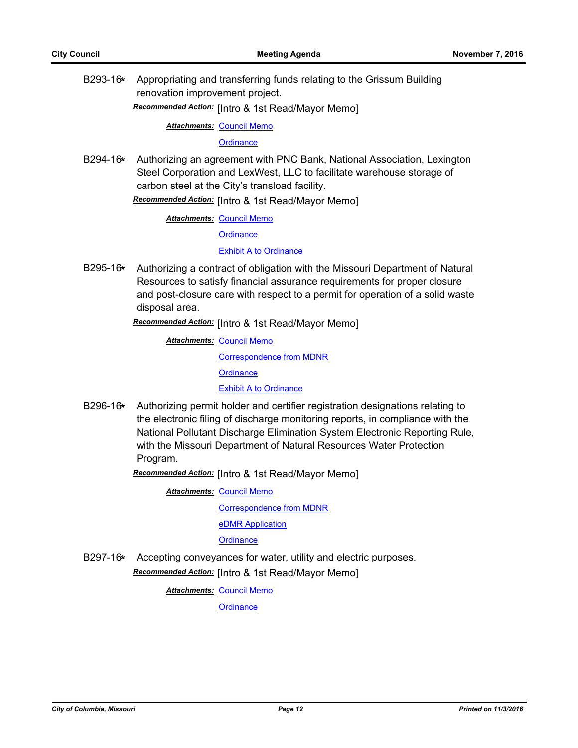B293-16**\*** Appropriating and transferring funds relating to the Grissum Building renovation improvement project.

*Recommended Action:* [Intro & 1st Read/Mayor Memo]

**Attachments: [Council Memo](http://gocolumbiamo.legistar.com/gateway.aspx?M=F&ID=daa31df5-440f-4959-9fad-080fcee12ac3.docx)** 

**[Ordinance](http://gocolumbiamo.legistar.com/gateway.aspx?M=F&ID=9dcc4639-ffc7-41ba-b189-c5bc291991e9.doc)** 

B294-16**\*** Authorizing an agreement with PNC Bank, National Association, Lexington Steel Corporation and LexWest, LLC to facilitate warehouse storage of carbon steel at the City's transload facility.

*Recommended Action:* [Intro & 1st Read/Mayor Memo]

**Attachments: [Council Memo](http://gocolumbiamo.legistar.com/gateway.aspx?M=F&ID=bbee6847-6e3d-4abc-80a6-a7bbbe4a1063.docx)** 

**[Ordinance](http://gocolumbiamo.legistar.com/gateway.aspx?M=F&ID=5a280f2c-9147-4bef-ab21-c8bee45dae55.doc)** 

[Exhibit A to Ordinance](http://gocolumbiamo.legistar.com/gateway.aspx?M=F&ID=58f7e43c-87f2-462d-9473-72c6dc355f85.pdf)

B295-16**\*** Authorizing a contract of obligation with the Missouri Department of Natural Resources to satisfy financial assurance requirements for proper closure and post-closure care with respect to a permit for operation of a solid waste disposal area.

*Recommended Action:* [Intro & 1st Read/Mayor Memo]

**Attachments: [Council Memo](http://gocolumbiamo.legistar.com/gateway.aspx?M=F&ID=b13da7fc-e15d-45ae-9440-5b4c79eca195.docx)** [Correspondence from MDNR](http://gocolumbiamo.legistar.com/gateway.aspx?M=F&ID=3ee8e934-8d89-4954-a238-96d8af158886.pdf) **[Ordinance](http://gocolumbiamo.legistar.com/gateway.aspx?M=F&ID=23145d77-8375-4354-b7ab-8d072745a46a.doc)** [Exhibit A to Ordinance](http://gocolumbiamo.legistar.com/gateway.aspx?M=F&ID=fe15ced6-4c91-43e9-8b71-c9ba2348a995.doc)

B296-16**\*** Authorizing permit holder and certifier registration designations relating to the electronic filing of discharge monitoring reports, in compliance with the National Pollutant Discharge Elimination System Electronic Reporting Rule, with the Missouri Department of Natural Resources Water Protection Program.

*Recommended Action:* [Intro & 1st Read/Mayor Memo]

**Attachments: [Council Memo](http://gocolumbiamo.legistar.com/gateway.aspx?M=F&ID=35bf8bdc-8a73-4098-9792-d8fd6d94d549.docx)** 

[Correspondence from MDNR](http://gocolumbiamo.legistar.com/gateway.aspx?M=F&ID=dad2fd1e-854a-4c64-9c8f-a8e2a45f485f.pdf)

[eDMR Application](http://gocolumbiamo.legistar.com/gateway.aspx?M=F&ID=8f1de7a2-84df-4e59-8143-cc98a757e77b.pdf)

**[Ordinance](http://gocolumbiamo.legistar.com/gateway.aspx?M=F&ID=ec951893-6ab9-4108-90f8-49b9e9192dfd.doc)** 

B297-16**\*** Accepting conveyances for water, utility and electric purposes. *Recommended Action:* [Intro & 1st Read/Mayor Memo]

**Attachments: [Council Memo](http://gocolumbiamo.legistar.com/gateway.aspx?M=F&ID=599411a4-630a-47b9-8a3a-4f0abbb191ed.docx)**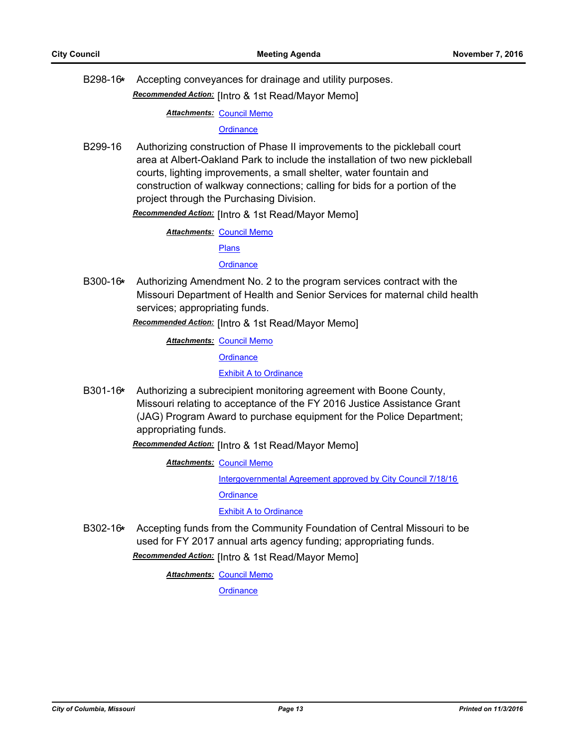B298-16**\*** Accepting conveyances for drainage and utility purposes.

*Recommended Action:* [Intro & 1st Read/Mayor Memo]

**Attachments: [Council Memo](http://gocolumbiamo.legistar.com/gateway.aspx?M=F&ID=b41b951c-c4ea-43cd-9316-457be25720de.docx)** 

#### **[Ordinance](http://gocolumbiamo.legistar.com/gateway.aspx?M=F&ID=a02d5c3b-979b-4073-9dbd-7afe2ad900ca.doc)**

B299-16 Authorizing construction of Phase II improvements to the pickleball court area at Albert-Oakland Park to include the installation of two new pickleball courts, lighting improvements, a small shelter, water fountain and construction of walkway connections; calling for bids for a portion of the project through the Purchasing Division.

*Recommended Action:* [Intro & 1st Read/Mayor Memo]

**Attachments: [Council Memo](http://gocolumbiamo.legistar.com/gateway.aspx?M=F&ID=cbac770b-7d11-4c5f-9f75-ff06af0bfcac.docx)** 

[Plans](http://gocolumbiamo.legistar.com/gateway.aspx?M=F&ID=7760d4c5-d033-4943-bf28-c0bdb4680eaa.pdf)

**[Ordinance](http://gocolumbiamo.legistar.com/gateway.aspx?M=F&ID=83f6f572-549a-4e00-8857-41cf7195558b.doc)** 

B300-16**\*** Authorizing Amendment No. 2 to the program services contract with the Missouri Department of Health and Senior Services for maternal child health services; appropriating funds.

*Recommended Action:* [Intro & 1st Read/Mayor Memo]

**Attachments: [Council Memo](http://gocolumbiamo.legistar.com/gateway.aspx?M=F&ID=65ecf0dc-2126-49e5-a9a0-b3ba8b945583.docx)** 

**[Ordinance](http://gocolumbiamo.legistar.com/gateway.aspx?M=F&ID=45b5b3f8-5e24-43d0-8e6b-77d19d87e1d1.doc)** 

[Exhibit A to Ordinance](http://gocolumbiamo.legistar.com/gateway.aspx?M=F&ID=37e37812-9933-4828-8d0c-cfbe59ef68d1.pdf)

B301-16**\*** Authorizing a subrecipient monitoring agreement with Boone County, Missouri relating to acceptance of the FY 2016 Justice Assistance Grant (JAG) Program Award to purchase equipment for the Police Department; appropriating funds.

*Recommended Action:* [Intro & 1st Read/Mayor Memo]

**Attachments: [Council Memo](http://gocolumbiamo.legistar.com/gateway.aspx?M=F&ID=560b372a-ce62-47e0-84a5-04ab49698a36.docx)** 

[Intergovernmental Agreement approved by City Council 7/18/16](http://gocolumbiamo.legistar.com/gateway.aspx?M=F&ID=6bfefd54-2e57-4104-a014-2b7eb4af2414.pdf)

**[Ordinance](http://gocolumbiamo.legistar.com/gateway.aspx?M=F&ID=0e3c7c4d-829f-44fb-a031-408759cd062e.doc)** 

[Exhibit A to Ordinance](http://gocolumbiamo.legistar.com/gateway.aspx?M=F&ID=0b081d24-3fe3-4b62-9f22-82dd0de7e2a5.pdf)

B302-16**\*** Accepting funds from the Community Foundation of Central Missouri to be used for FY 2017 annual arts agency funding; appropriating funds.

*Recommended Action:* [Intro & 1st Read/Mayor Memo]

**Attachments: [Council Memo](http://gocolumbiamo.legistar.com/gateway.aspx?M=F&ID=80b594dd-6488-4fc8-833f-27a6bfda019c.docx)**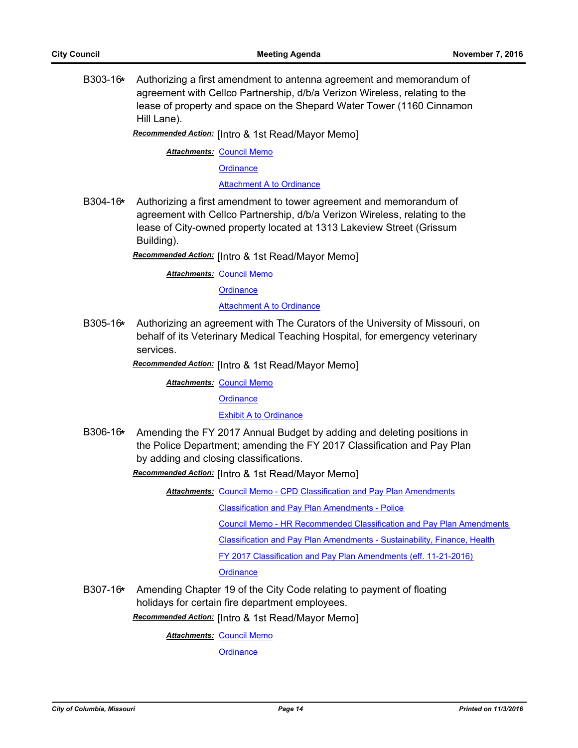B303-16**\*** Authorizing a first amendment to antenna agreement and memorandum of agreement with Cellco Partnership, d/b/a Verizon Wireless, relating to the lease of property and space on the Shepard Water Tower (1160 Cinnamon Hill Lane).

*Recommended Action:* [Intro & 1st Read/Mayor Memo]

**Attachments: [Council Memo](http://gocolumbiamo.legistar.com/gateway.aspx?M=F&ID=af3b7c63-0577-4f52-8cac-9bbe8f859c64.docx)** 

**[Ordinance](http://gocolumbiamo.legistar.com/gateway.aspx?M=F&ID=33274928-b6a6-4269-9fe1-658b1288d7d6.doc)** 

[Attachment A to Ordinance](http://gocolumbiamo.legistar.com/gateway.aspx?M=F&ID=911ab4d2-1665-4bbf-8de6-d9b98db021fc.pdf)

B304-16**\*** Authorizing a first amendment to tower agreement and memorandum of agreement with Cellco Partnership, d/b/a Verizon Wireless, relating to the lease of City-owned property located at 1313 Lakeview Street (Grissum Building).

*Recommended Action:* [Intro & 1st Read/Mayor Memo]

**Attachments: [Council Memo](http://gocolumbiamo.legistar.com/gateway.aspx?M=F&ID=3146fc1c-27dd-495b-b674-330cf8f830c4.docx)** 

**[Ordinance](http://gocolumbiamo.legistar.com/gateway.aspx?M=F&ID=79d4d45d-d3a8-4bfd-a05c-ec8994b399c4.doc)** 

[Attachment A to Ordinance](http://gocolumbiamo.legistar.com/gateway.aspx?M=F&ID=5d3f70ed-9a84-4134-8e47-ac9d378661bf.pdf)

B305-16**\*** Authorizing an agreement with The Curators of the University of Missouri, on behalf of its Veterinary Medical Teaching Hospital, for emergency veterinary services.

*Recommended Action:* [Intro & 1st Read/Mayor Memo]

**Attachments: [Council Memo](http://gocolumbiamo.legistar.com/gateway.aspx?M=F&ID=aa99eed1-d193-4207-a24d-f95a1c722170.docx)** 

**[Ordinance](http://gocolumbiamo.legistar.com/gateway.aspx?M=F&ID=09b285c3-6341-41ab-a608-0e9ba0203c9c.doc)** 

[Exhibit A to Ordinance](http://gocolumbiamo.legistar.com/gateway.aspx?M=F&ID=a67e96d0-4a1b-4adf-a829-67ccd066b8b2.docx)

B306-16**\*** Amending the FY 2017 Annual Budget by adding and deleting positions in the Police Department; amending the FY 2017 Classification and Pay Plan by adding and closing classifications.

*Recommended Action:* [Intro & 1st Read/Mayor Memo]

Attachments: [Council Memo - CPD Classification and Pay Plan Amendments](http://gocolumbiamo.legistar.com/gateway.aspx?M=F&ID=07eda2e1-601a-4af8-a807-d4237a7af6d7.docx)

[Classification and Pay Plan Amendments - Police](http://gocolumbiamo.legistar.com/gateway.aspx?M=F&ID=bc4390ad-2950-41d9-9328-9e47f9e6adf5.doc)

[Council Memo - HR Recommended Classification and Pay Plan Amendments](http://gocolumbiamo.legistar.com/gateway.aspx?M=F&ID=31a7dd45-2e86-4e8f-a95f-f278e9b5a687.docx)

[Classification and Pay Plan Amendments - Sustainability, Finance, Health](http://gocolumbiamo.legistar.com/gateway.aspx?M=F&ID=4150dc08-b0ef-4ce4-8154-b7b6a01142bf.doc)

[FY 2017 Classification and Pay Plan Amendments \(eff. 11-21-2016\)](http://gocolumbiamo.legistar.com/gateway.aspx?M=F&ID=787b96c7-a91c-432f-bbe6-2a1ed69412d1.pdf)

**[Ordinance](http://gocolumbiamo.legistar.com/gateway.aspx?M=F&ID=d7034162-8a03-43e0-a9c9-6acdb692c441.doc)** 

B307-16**\*** Amending Chapter 19 of the City Code relating to payment of floating holidays for certain fire department employees.

*Recommended Action:* [Intro & 1st Read/Mayor Memo]

**Attachments: [Council Memo](http://gocolumbiamo.legistar.com/gateway.aspx?M=F&ID=7fd61c2f-0195-401a-b5bc-740267dc5afc.docx)**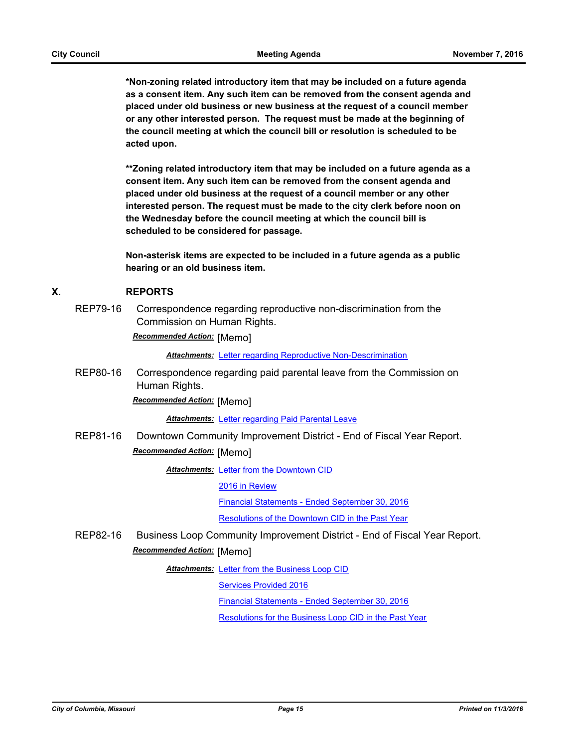**\*Non-zoning related introductory item that may be included on a future agenda as a consent item. Any such item can be removed from the consent agenda and placed under old business or new business at the request of a council member or any other interested person. The request must be made at the beginning of the council meeting at which the council bill or resolution is scheduled to be acted upon.** 

**\*\*Zoning related introductory item that may be included on a future agenda as a consent item. Any such item can be removed from the consent agenda and placed under old business at the request of a council member or any other interested person. The request must be made to the city clerk before noon on the Wednesday before the council meeting at which the council bill is scheduled to be considered for passage.**

**Non-asterisk items are expected to be included in a future agenda as a public hearing or an old business item.**

## **X. REPORTS**

REP79-16 Correspondence regarding reproductive non-discrimination from the Commission on Human Rights.

*Recommended Action:* [Memo]

*Attachments:* [Letter regarding Reproductive Non-Descrimination](http://gocolumbiamo.legistar.com/gateway.aspx?M=F&ID=b40db053-7046-4839-b9f3-735ea49c41ad.docx)

REP80-16 Correspondence regarding paid parental leave from the Commission on Human Rights.

*Recommended Action:* [Memo]

*Attachments:* [Letter regarding Paid Parental Leave](http://gocolumbiamo.legistar.com/gateway.aspx?M=F&ID=9031bd7d-cde3-4e21-a4ec-48ae5a2e6e1e.docx)

REP81-16 Downtown Community Improvement District - End of Fiscal Year Report. *Recommended Action:* [Memo]

**Attachments: [Letter from the Downtown CID](http://gocolumbiamo.legistar.com/gateway.aspx?M=F&ID=ab220ff3-cf96-4d1d-8cde-45e93af89940.pdf)** 

[2016 in Review](http://gocolumbiamo.legistar.com/gateway.aspx?M=F&ID=5875c0c0-5712-48b0-8403-13570d793f7c.pdf)

[Financial Statements - Ended September 30, 2016](http://gocolumbiamo.legistar.com/gateway.aspx?M=F&ID=b8cc076e-8bfd-4503-bf46-c217ee392c00.pdf)

[Resolutions of the Downtown CID in the Past Year](http://gocolumbiamo.legistar.com/gateway.aspx?M=F&ID=73296073-9224-4b07-a8cd-f3451eab63e5.pdf)

REP82-16 Business Loop Community Improvement District - End of Fiscal Year Report. *Recommended Action:* [Memo]

Attachments: [Letter from the Business Loop CID](http://gocolumbiamo.legistar.com/gateway.aspx?M=F&ID=cadec25c-c847-4355-9fac-08f88e48e607.pdf)

[Services Provided 2016](http://gocolumbiamo.legistar.com/gateway.aspx?M=F&ID=51e6e4a6-c519-44c6-ba3b-cfa6a07c80d1.pdf)

[Financial Statements - Ended September 30, 2016](http://gocolumbiamo.legistar.com/gateway.aspx?M=F&ID=538e6d7e-6ed4-4ea6-bbe6-06f2b22c84ae.pdf)

[Resolutions for the Business Loop CID in the Past Year](http://gocolumbiamo.legistar.com/gateway.aspx?M=F&ID=38e2c160-4207-44ff-85ba-f46d5ae85843.pdf)